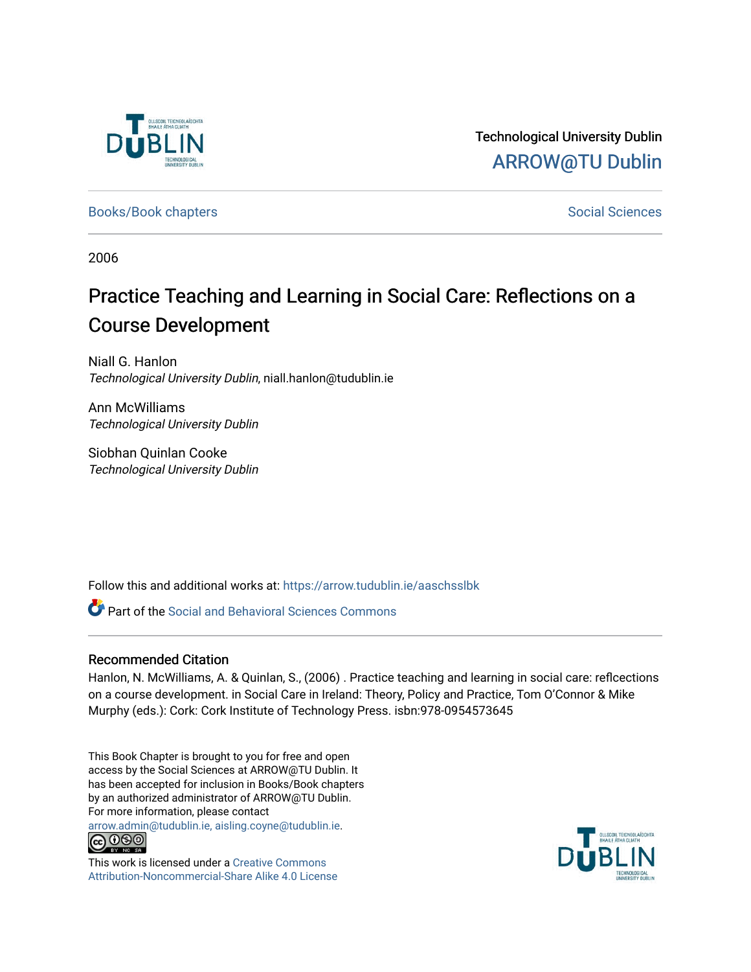

Technological University Dublin [ARROW@TU Dublin](https://arrow.tudublin.ie/) 

[Books/Book chapters](https://arrow.tudublin.ie/aaschsslbk) and the set of the set of the set of the [Social Sciences](https://arrow.tudublin.ie/aaschss) Social Sciences

2006

# Practice Teaching and Learning in Social Care: Reflections on a Course Development

Niall G. Hanlon Technological University Dublin, niall.hanlon@tudublin.ie

Ann McWilliams Technological University Dublin

Siobhan Quinlan Cooke Technological University Dublin

Follow this and additional works at: [https://arrow.tudublin.ie/aaschsslbk](https://arrow.tudublin.ie/aaschsslbk?utm_source=arrow.tudublin.ie%2Faaschsslbk%2F21&utm_medium=PDF&utm_campaign=PDFCoverPages)

**P** Part of the Social and Behavioral Sciences Commons

## Recommended Citation

Hanlon, N. McWilliams, A. & Quinlan, S., (2006) . Practice teaching and learning in social care: reflcections on a course development. in Social Care in Ireland: Theory, Policy and Practice, Tom O'Connor & Mike Murphy (eds.): Cork: Cork Institute of Technology Press. isbn:978-0954573645

This Book Chapter is brought to you for free and open access by the Social Sciences at ARROW@TU Dublin. It has been accepted for inclusion in Books/Book chapters by an authorized administrator of ARROW@TU Dublin. For more information, please contact

[arrow.admin@tudublin.ie, aisling.coyne@tudublin.ie](mailto:arrow.admin@tudublin.ie,%20aisling.coyne@tudublin.ie).



This work is licensed under a [Creative Commons](http://creativecommons.org/licenses/by-nc-sa/4.0/) [Attribution-Noncommercial-Share Alike 4.0 License](http://creativecommons.org/licenses/by-nc-sa/4.0/)

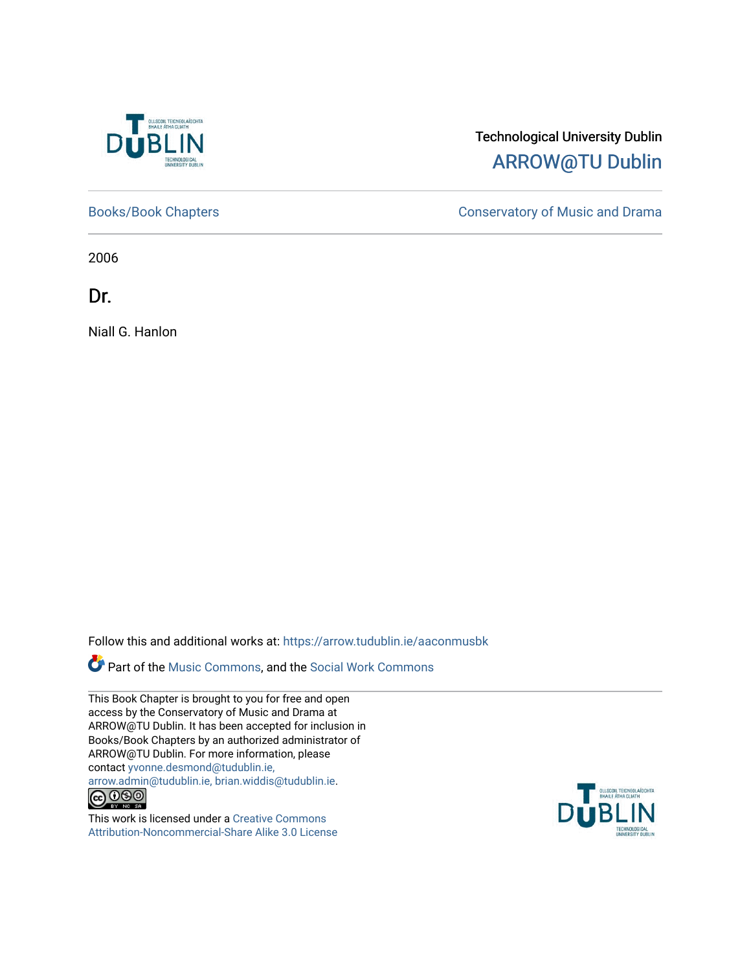

## Technological University Dublin [ARROW@TU Dublin](https://arrow.tudublin.ie/)

[Books/Book Chapters](https://arrow.tudublin.ie/aaconmusbk) **Conservatory of Music and Drama** 

2006

Dr.

Niall G. Hanlon

Follow this and additional works at: [https://arrow.tudublin.ie/aaconmusbk](https://arrow.tudublin.ie/aaconmusbk?utm_source=arrow.tudublin.ie%2Faaconmusbk%2F1&utm_medium=PDF&utm_campaign=PDFCoverPages)

Part of the [Music Commons,](http://network.bepress.com/hgg/discipline/518?utm_source=arrow.tudublin.ie%2Faaconmusbk%2F1&utm_medium=PDF&utm_campaign=PDFCoverPages) and the [Social Work Commons](http://network.bepress.com/hgg/discipline/713?utm_source=arrow.tudublin.ie%2Faaconmusbk%2F1&utm_medium=PDF&utm_campaign=PDFCoverPages)

This Book Chapter is brought to you for free and open access by the Conservatory of Music and Drama at ARROW@TU Dublin. It has been accepted for inclusion in Books/Book Chapters by an authorized administrator of ARROW@TU Dublin. For more information, please contact [yvonne.desmond@tudublin.ie,](mailto:yvonne.desmond@tudublin.ie,%20arrow.admin@tudublin.ie,%20brian.widdis@tudublin.ie) [arrow.admin@tudublin.ie, brian.widdis@tudublin.ie.](mailto:yvonne.desmond@tudublin.ie,%20arrow.admin@tudublin.ie,%20brian.widdis@tudublin.ie)<br>
© O S ©

This work is licensed under a [Creative Commons](http://creativecommons.org/licenses/by-nc-sa/3.0/) [Attribution-Noncommercial-Share Alike 3.0 License](http://creativecommons.org/licenses/by-nc-sa/3.0/)

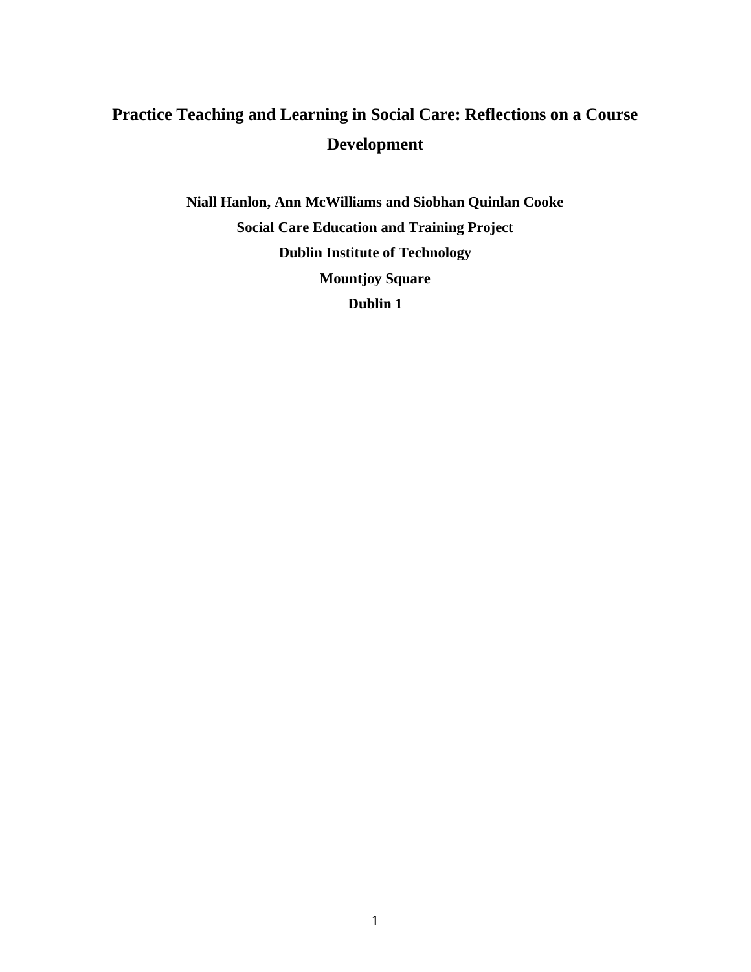## **Practice Teaching and Learning in Social Care: Reflections on a Course Development**

**Niall Hanlon, Ann McWilliams and Siobhan Quinlan Cooke Social Care Education and Training Project Dublin Institute of Technology Mountjoy Square Dublin 1**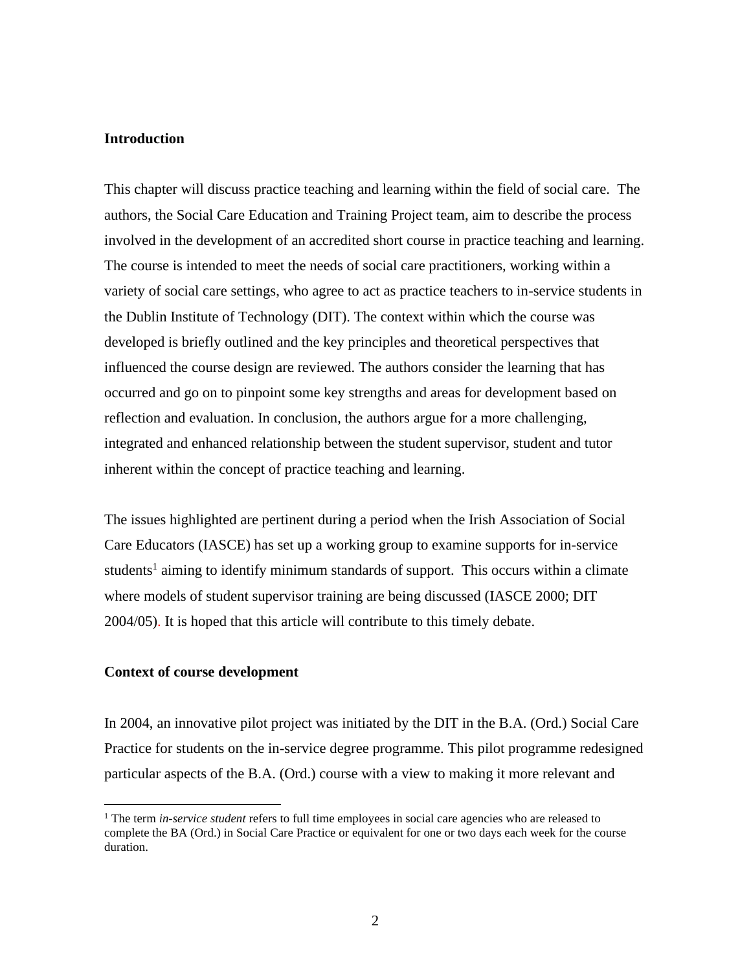## **Introduction**

This chapter will discuss practice teaching and learning within the field of social care. The authors, the Social Care Education and Training Project team, aim to describe the process involved in the development of an accredited short course in practice teaching and learning. The course is intended to meet the needs of social care practitioners, working within a variety of social care settings, who agree to act as practice teachers to in-service students in the Dublin Institute of Technology (DIT). The context within which the course was developed is briefly outlined and the key principles and theoretical perspectives that influenced the course design are reviewed. The authors consider the learning that has occurred and go on to pinpoint some key strengths and areas for development based on reflection and evaluation. In conclusion, the authors argue for a more challenging, integrated and enhanced relationship between the student supervisor, student and tutor inherent within the concept of practice teaching and learning.

The issues highlighted are pertinent during a period when the Irish Association of Social Care Educators (IASCE) has set up a working group to examine supports for in-service students<sup>1</sup> aiming to identify minimum standards of support. This occurs within a climate where models of student supervisor training are being discussed (IASCE 2000; DIT 2004/05). It is hoped that this article will contribute to this timely debate.

### **Context of course development**

In 2004, an innovative pilot project was initiated by the DIT in the B.A. (Ord.) Social Care Practice for students on the in-service degree programme. This pilot programme redesigned particular aspects of the B.A. (Ord.) course with a view to making it more relevant and

<sup>&</sup>lt;sup>1</sup> The term *in-service student* refers to full time employees in social care agencies who are released to complete the BA (Ord.) in Social Care Practice or equivalent for one or two days each week for the course duration.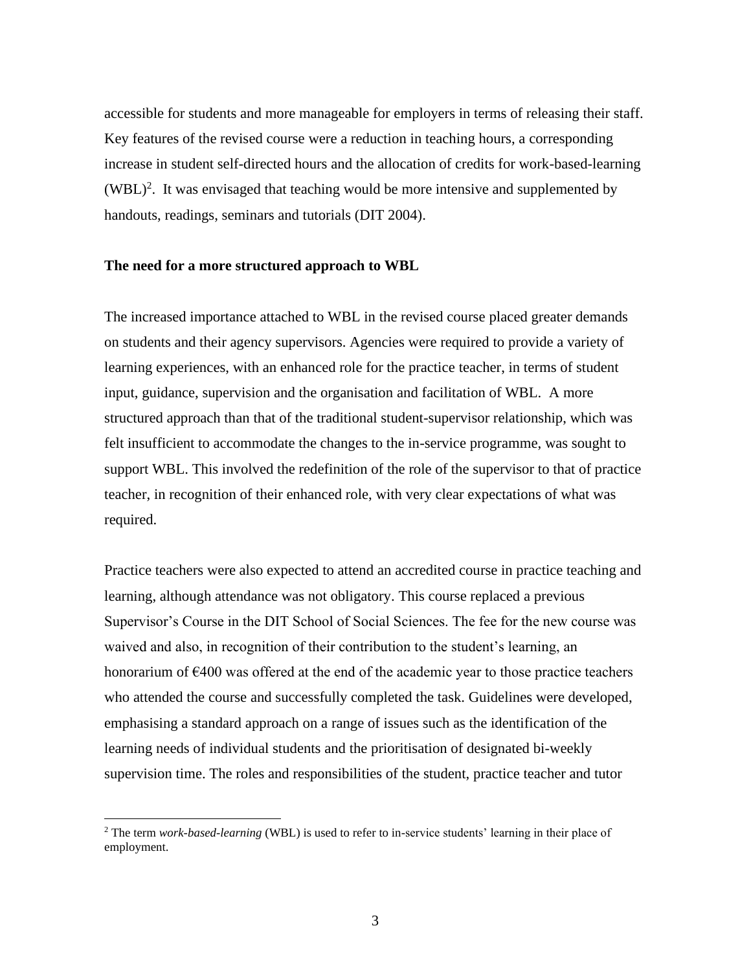accessible for students and more manageable for employers in terms of releasing their staff. Key features of the revised course were a reduction in teaching hours, a corresponding increase in student self-directed hours and the allocation of credits for work-based-learning  $(WBL)<sup>2</sup>$ . It was envisaged that teaching would be more intensive and supplemented by handouts, readings, seminars and tutorials (DIT 2004).

#### **The need for a more structured approach to WBL**

The increased importance attached to WBL in the revised course placed greater demands on students and their agency supervisors. Agencies were required to provide a variety of learning experiences, with an enhanced role for the practice teacher, in terms of student input, guidance, supervision and the organisation and facilitation of WBL. A more structured approach than that of the traditional student-supervisor relationship, which was felt insufficient to accommodate the changes to the in-service programme, was sought to support WBL. This involved the redefinition of the role of the supervisor to that of practice teacher, in recognition of their enhanced role, with very clear expectations of what was required.

Practice teachers were also expected to attend an accredited course in practice teaching and learning, although attendance was not obligatory. This course replaced a previous Supervisor's Course in the DIT School of Social Sciences. The fee for the new course was waived and also, in recognition of their contribution to the student's learning, an honorarium of  $\epsilon$ 400 was offered at the end of the academic year to those practice teachers who attended the course and successfully completed the task. Guidelines were developed, emphasising a standard approach on a range of issues such as the identification of the learning needs of individual students and the prioritisation of designated bi-weekly supervision time. The roles and responsibilities of the student, practice teacher and tutor

<sup>2</sup> The term *work-based-learning* (WBL) is used to refer to in-service students' learning in their place of employment.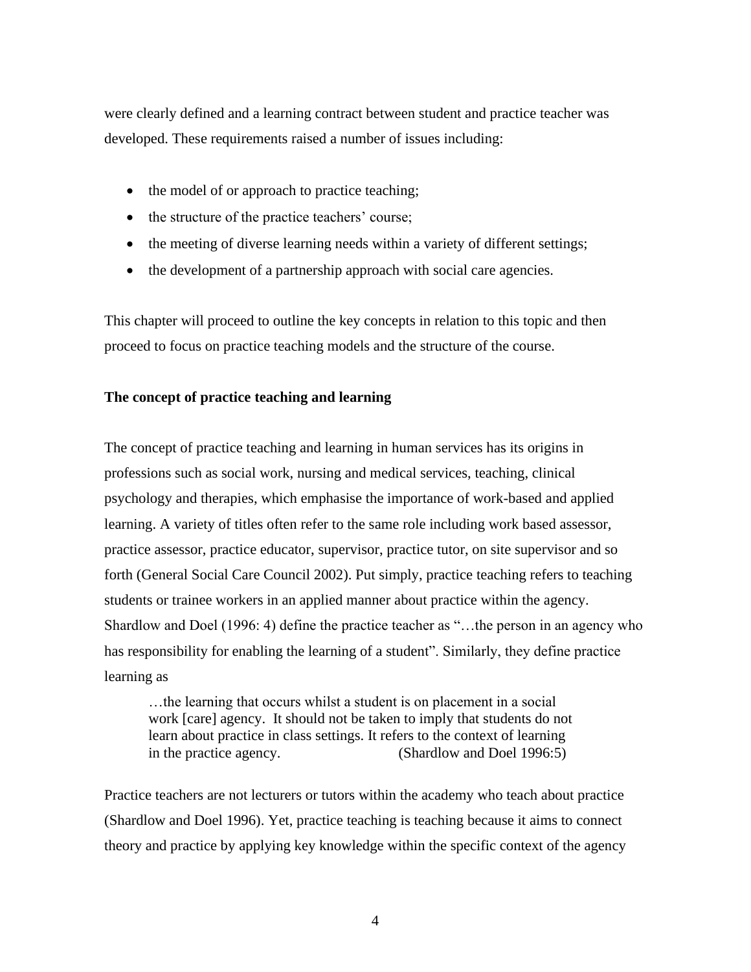were clearly defined and a learning contract between student and practice teacher was developed. These requirements raised a number of issues including:

- the model of or approach to practice teaching;
- the structure of the practice teachers' course;
- the meeting of diverse learning needs within a variety of different settings;
- the development of a partnership approach with social care agencies.

This chapter will proceed to outline the key concepts in relation to this topic and then proceed to focus on practice teaching models and the structure of the course.

## **The concept of practice teaching and learning**

The concept of practice teaching and learning in human services has its origins in professions such as social work, nursing and medical services, teaching, clinical psychology and therapies, which emphasise the importance of work-based and applied learning. A variety of titles often refer to the same role including work based assessor, practice assessor, practice educator, supervisor, practice tutor, on site supervisor and so forth (General Social Care Council 2002). Put simply, practice teaching refers to teaching students or trainee workers in an applied manner about practice within the agency. Shardlow and Doel (1996: 4) define the practice teacher as "…the person in an agency who has responsibility for enabling the learning of a student". Similarly, they define practice learning as

…the learning that occurs whilst a student is on placement in a social work [care] agency. It should not be taken to imply that students do not learn about practice in class settings. It refers to the context of learning in the practice agency. (Shardlow and Doel 1996:5)

Practice teachers are not lecturers or tutors within the academy who teach about practice (Shardlow and Doel 1996). Yet, practice teaching is teaching because it aims to connect theory and practice by applying key knowledge within the specific context of the agency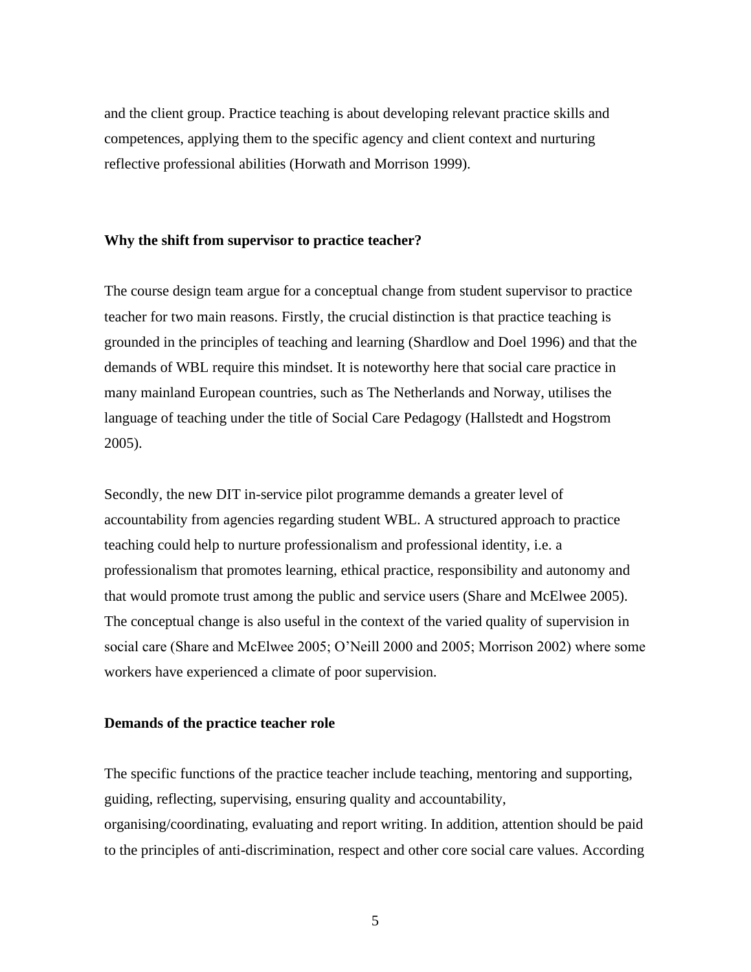and the client group. Practice teaching is about developing relevant practice skills and competences, applying them to the specific agency and client context and nurturing reflective professional abilities (Horwath and Morrison 1999).

### **Why the shift from supervisor to practice teacher?**

The course design team argue for a conceptual change from student supervisor to practice teacher for two main reasons. Firstly, the crucial distinction is that practice teaching is grounded in the principles of teaching and learning (Shardlow and Doel 1996) and that the demands of WBL require this mindset. It is noteworthy here that social care practice in many mainland European countries, such as The Netherlands and Norway, utilises the language of teaching under the title of Social Care Pedagogy (Hallstedt and Hogstrom 2005).

Secondly, the new DIT in-service pilot programme demands a greater level of accountability from agencies regarding student WBL. A structured approach to practice teaching could help to nurture professionalism and professional identity, i.e. a professionalism that promotes learning, ethical practice, responsibility and autonomy and that would promote trust among the public and service users (Share and McElwee 2005). The conceptual change is also useful in the context of the varied quality of supervision in social care (Share and McElwee 2005; O'Neill 2000 and 2005; Morrison 2002) where some workers have experienced a climate of poor supervision.

## **Demands of the practice teacher role**

The specific functions of the practice teacher include teaching, mentoring and supporting, guiding, reflecting, supervising, ensuring quality and accountability, organising/coordinating, evaluating and report writing. In addition, attention should be paid to the principles of anti-discrimination, respect and other core social care values. According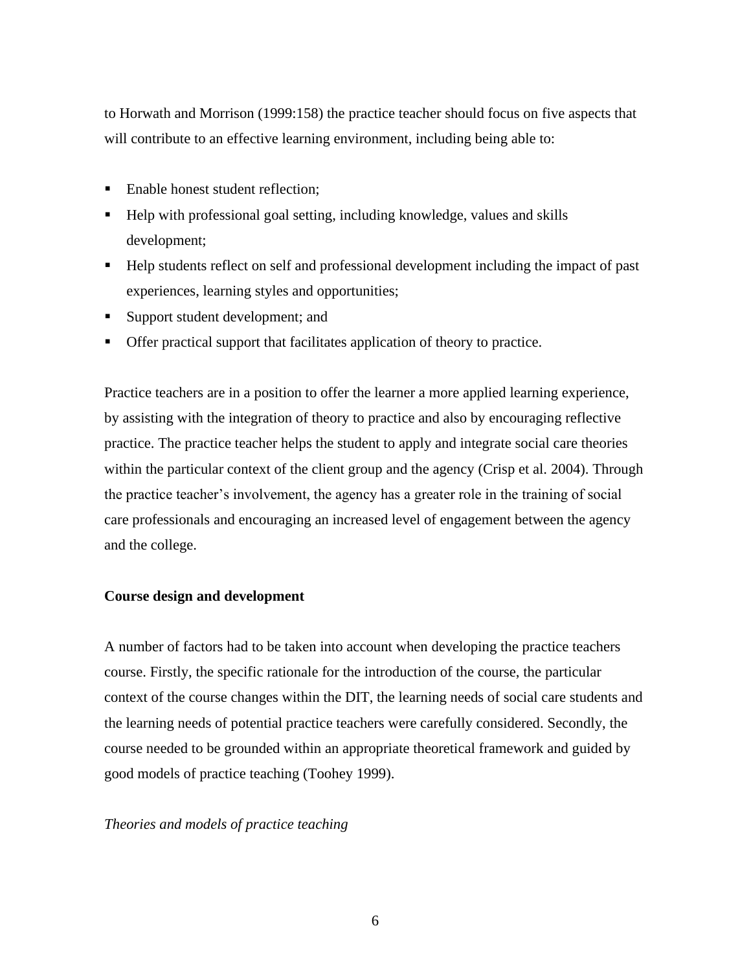to Horwath and Morrison (1999:158) the practice teacher should focus on five aspects that will contribute to an effective learning environment, including being able to:

- Enable honest student reflection;
- Help with professional goal setting, including knowledge, values and skills development;
- Help students reflect on self and professional development including the impact of past experiences, learning styles and opportunities;
- Support student development; and
- Offer practical support that facilitates application of theory to practice.

Practice teachers are in a position to offer the learner a more applied learning experience, by assisting with the integration of theory to practice and also by encouraging reflective practice. The practice teacher helps the student to apply and integrate social care theories within the particular context of the client group and the agency (Crisp et al. 2004). Through the practice teacher's involvement, the agency has a greater role in the training of social care professionals and encouraging an increased level of engagement between the agency and the college.

## **Course design and development**

A number of factors had to be taken into account when developing the practice teachers course. Firstly, the specific rationale for the introduction of the course, the particular context of the course changes within the DIT, the learning needs of social care students and the learning needs of potential practice teachers were carefully considered. Secondly, the course needed to be grounded within an appropriate theoretical framework and guided by good models of practice teaching (Toohey 1999).

### *Theories and models of practice teaching*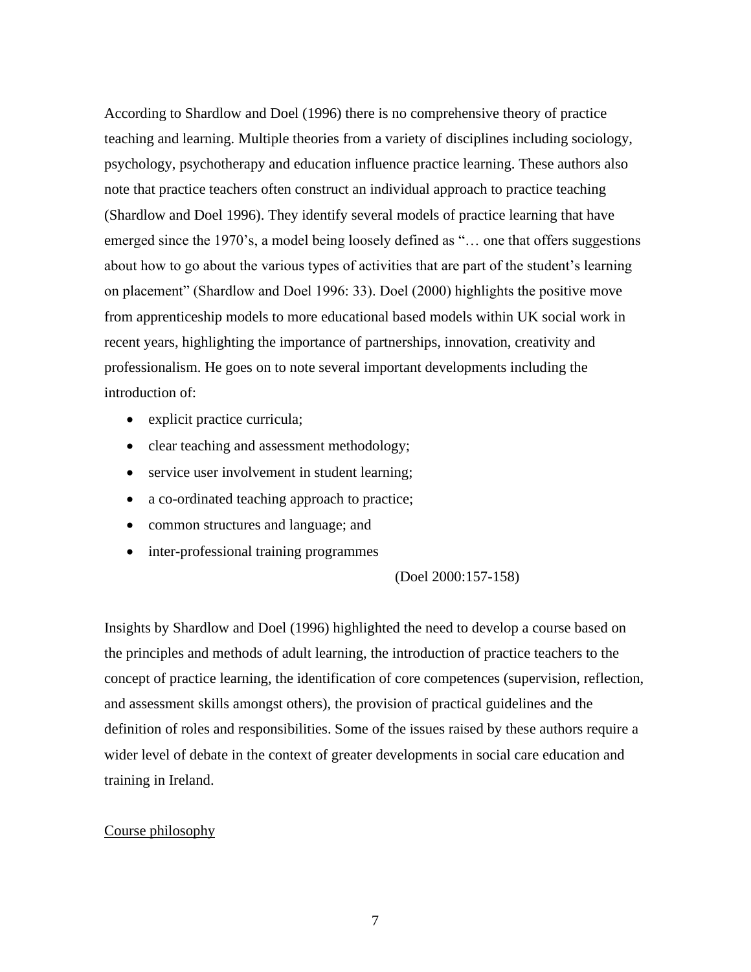According to Shardlow and Doel (1996) there is no comprehensive theory of practice teaching and learning. Multiple theories from a variety of disciplines including sociology, psychology, psychotherapy and education influence practice learning. These authors also note that practice teachers often construct an individual approach to practice teaching (Shardlow and Doel 1996). They identify several models of practice learning that have emerged since the 1970's, a model being loosely defined as "… one that offers suggestions about how to go about the various types of activities that are part of the student's learning on placement" (Shardlow and Doel 1996: 33). Doel (2000) highlights the positive move from apprenticeship models to more educational based models within UK social work in recent years, highlighting the importance of partnerships, innovation, creativity and professionalism. He goes on to note several important developments including the introduction of:

- explicit practice curricula;
- clear teaching and assessment methodology;
- service user involvement in student learning;
- a co-ordinated teaching approach to practice;
- common structures and language; and
- inter-professional training programmes

### (Doel 2000:157-158)

Insights by Shardlow and Doel (1996) highlighted the need to develop a course based on the principles and methods of adult learning, the introduction of practice teachers to the concept of practice learning, the identification of core competences (supervision, reflection, and assessment skills amongst others), the provision of practical guidelines and the definition of roles and responsibilities. Some of the issues raised by these authors require a wider level of debate in the context of greater developments in social care education and training in Ireland.

## Course philosophy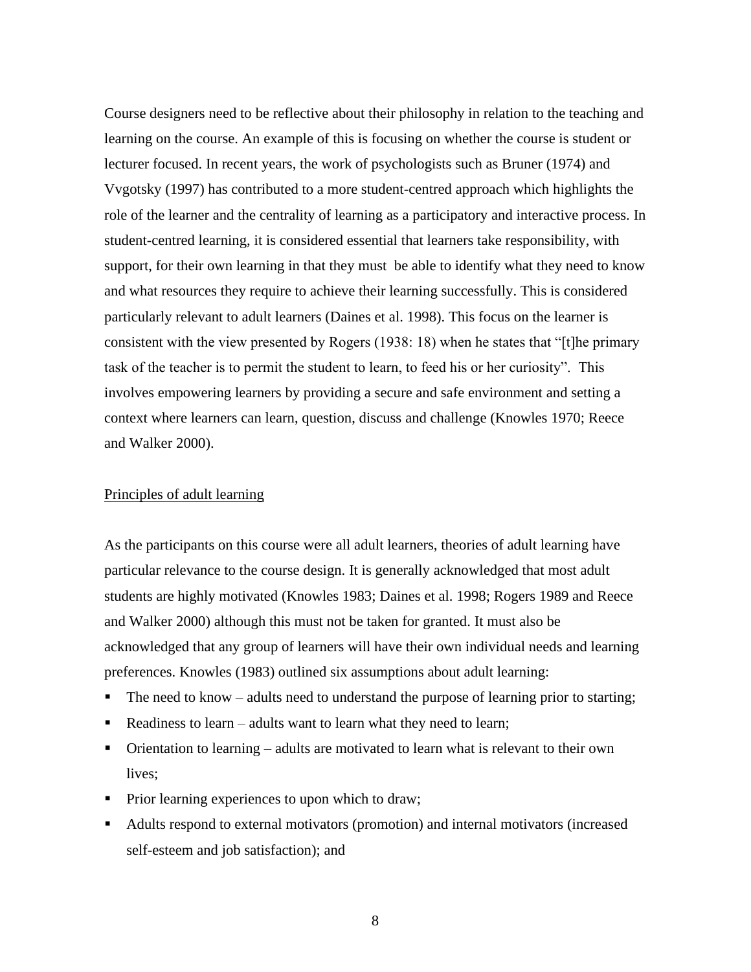Course designers need to be reflective about their philosophy in relation to the teaching and learning on the course. An example of this is focusing on whether the course is student or lecturer focused. In recent years, the work of psychologists such as Bruner (1974) and Vvgotsky (1997) has contributed to a more student-centred approach which highlights the role of the learner and the centrality of learning as a participatory and interactive process. In student-centred learning, it is considered essential that learners take responsibility, with support, for their own learning in that they must be able to identify what they need to know and what resources they require to achieve their learning successfully. This is considered particularly relevant to adult learners (Daines et al. 1998). This focus on the learner is consistent with the view presented by Rogers (1938: 18) when he states that "[t]he primary task of the teacher is to permit the student to learn, to feed his or her curiosity". This involves empowering learners by providing a secure and safe environment and setting a context where learners can learn, question, discuss and challenge (Knowles 1970; Reece and Walker 2000).

### Principles of adult learning

As the participants on this course were all adult learners, theories of adult learning have particular relevance to the course design. It is generally acknowledged that most adult students are highly motivated (Knowles 1983; Daines et al. 1998; Rogers 1989 and Reece and Walker 2000) although this must not be taken for granted. It must also be acknowledged that any group of learners will have their own individual needs and learning preferences. Knowles (1983) outlined six assumptions about adult learning:

- The need to know adults need to understand the purpose of learning prior to starting;
- Readiness to learn adults want to learn what they need to learn;
- $\blacksquare$  Orientation to learning adults are motivated to learn what is relevant to their own lives;
- Prior learning experiences to upon which to draw;
- Adults respond to external motivators (promotion) and internal motivators (increased self-esteem and job satisfaction); and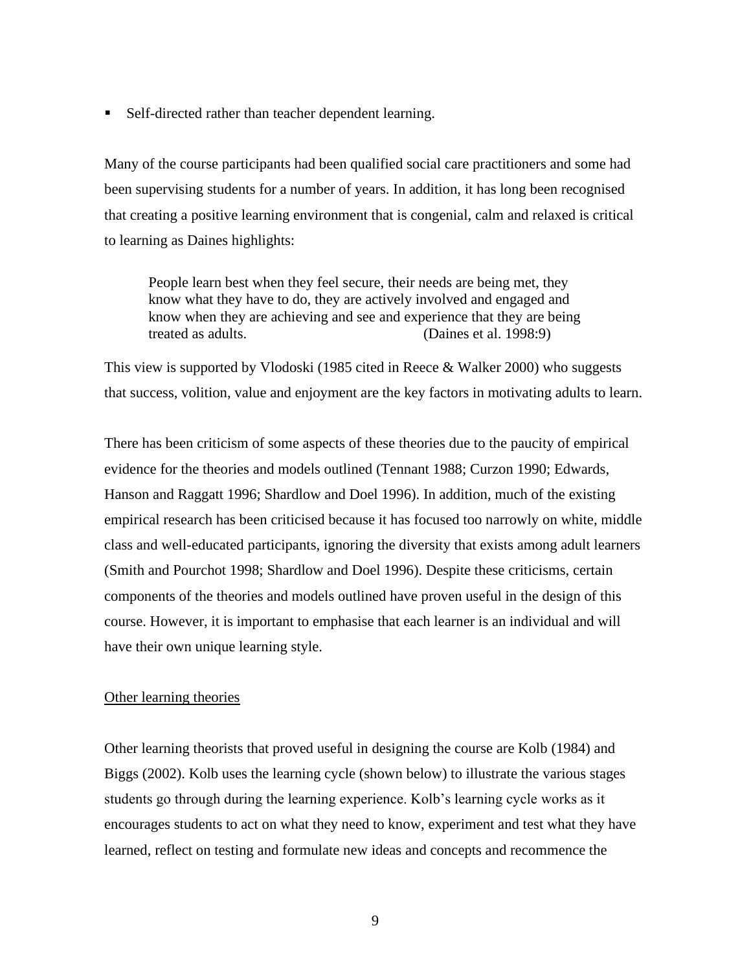■ Self-directed rather than teacher dependent learning.

Many of the course participants had been qualified social care practitioners and some had been supervising students for a number of years. In addition, it has long been recognised that creating a positive learning environment that is congenial, calm and relaxed is critical to learning as Daines highlights:

People learn best when they feel secure, their needs are being met, they know what they have to do, they are actively involved and engaged and know when they are achieving and see and experience that they are being treated as adults. (Daines et al. 1998:9)

This view is supported by Vlodoski (1985 cited in Reece & Walker 2000) who suggests that success, volition, value and enjoyment are the key factors in motivating adults to learn.

There has been criticism of some aspects of these theories due to the paucity of empirical evidence for the theories and models outlined (Tennant 1988; Curzon 1990; Edwards, Hanson and Raggatt 1996; Shardlow and Doel 1996). In addition, much of the existing empirical research has been criticised because it has focused too narrowly on white, middle class and well-educated participants, ignoring the diversity that exists among adult learners (Smith and Pourchot 1998; Shardlow and Doel 1996). Despite these criticisms, certain components of the theories and models outlined have proven useful in the design of this course. However, it is important to emphasise that each learner is an individual and will have their own unique learning style.

## Other learning theories

Other learning theorists that proved useful in designing the course are Kolb (1984) and Biggs (2002). Kolb uses the learning cycle (shown below) to illustrate the various stages students go through during the learning experience. Kolb's learning cycle works as it encourages students to act on what they need to know, experiment and test what they have learned, reflect on testing and formulate new ideas and concepts and recommence the

9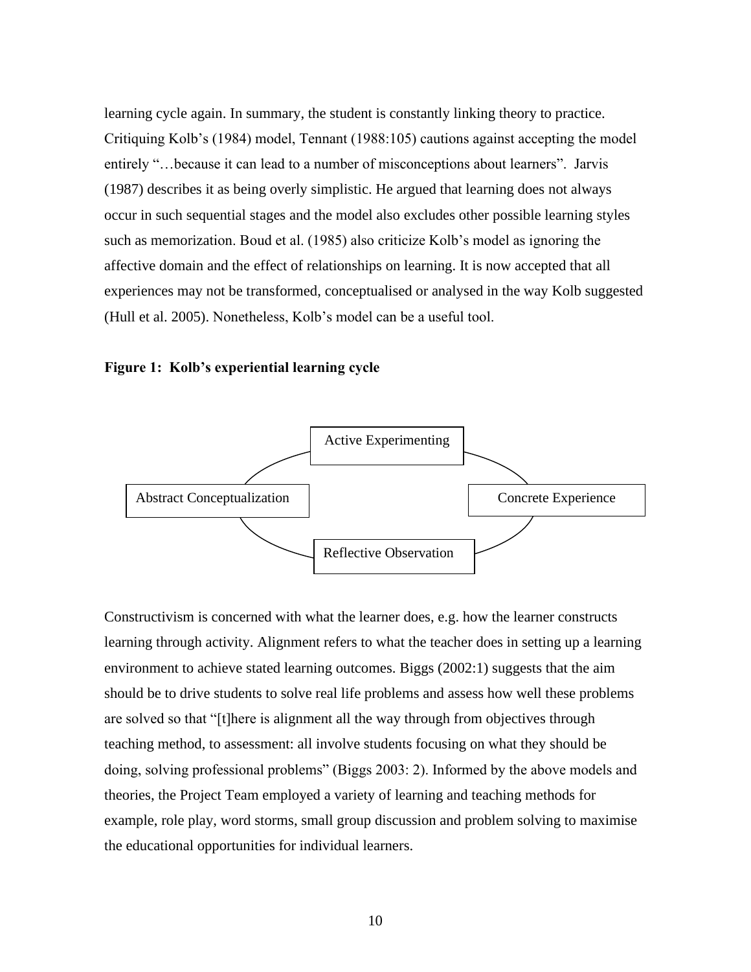learning cycle again. In summary, the student is constantly linking theory to practice. Critiquing Kolb's (1984) model, Tennant (1988:105) cautions against accepting the model entirely "…because it can lead to a number of misconceptions about learners". Jarvis (1987) describes it as being overly simplistic. He argued that learning does not always occur in such sequential stages and the model also excludes other possible learning styles such as memorization. Boud et al. (1985) also criticize Kolb's model as ignoring the affective domain and the effect of relationships on learning. It is now accepted that all experiences may not be transformed, conceptualised or analysed in the way Kolb suggested (Hull et al. 2005). Nonetheless, Kolb's model can be a useful tool.

#### **Figure 1: Kolb's experiential learning cycle**



Constructivism is concerned with what the learner does, e.g. how the learner constructs learning through activity. Alignment refers to what the teacher does in setting up a learning environment to achieve stated learning outcomes. Biggs (2002:1) suggests that the aim should be to drive students to solve real life problems and assess how well these problems are solved so that "[t]here is alignment all the way through from objectives through teaching method, to assessment: all involve students focusing on what they should be doing, solving professional problems" (Biggs 2003: 2). Informed by the above models and theories, the Project Team employed a variety of learning and teaching methods for example, role play, word storms, small group discussion and problem solving to maximise the educational opportunities for individual learners.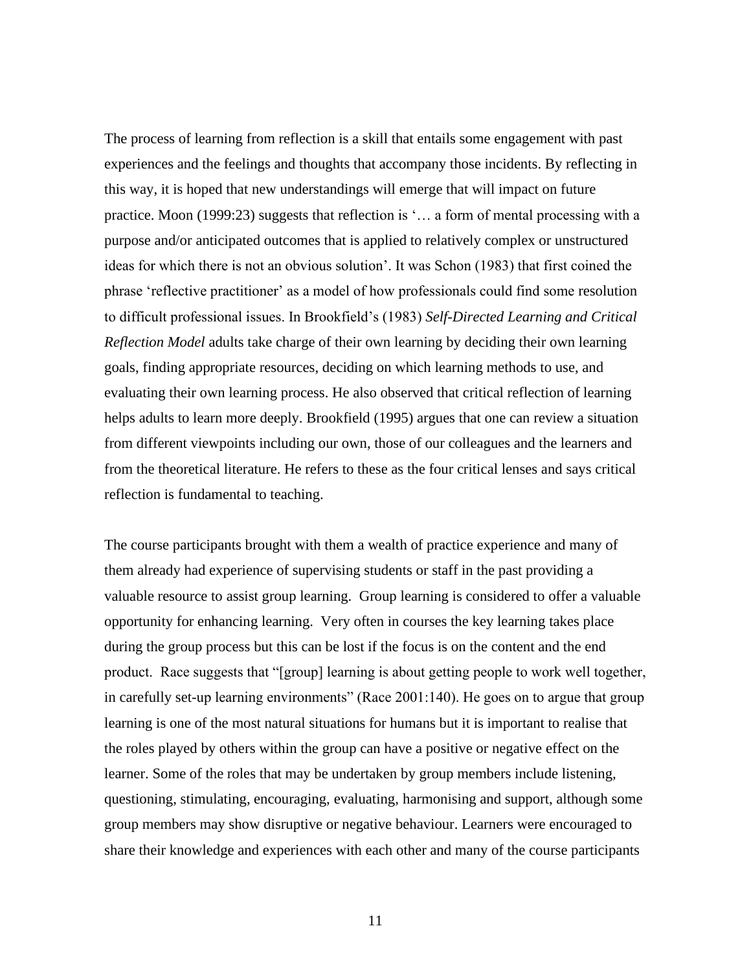The process of learning from reflection is a skill that entails some engagement with past experiences and the feelings and thoughts that accompany those incidents. By reflecting in this way, it is hoped that new understandings will emerge that will impact on future practice. Moon (1999:23) suggests that reflection is '… a form of mental processing with a purpose and/or anticipated outcomes that is applied to relatively complex or unstructured ideas for which there is not an obvious solution'. It was Schon (1983) that first coined the phrase 'reflective practitioner' as a model of how professionals could find some resolution to difficult professional issues. In Brookfield's (1983) *Self-Directed Learning and Critical Reflection Model* adults take charge of their own learning by deciding their own learning goals, finding appropriate resources, deciding on which learning methods to use, and evaluating their own learning process. He also observed that critical reflection of learning helps adults to learn more deeply. Brookfield (1995) argues that one can review a situation from different viewpoints including our own, those of our colleagues and the learners and from the theoretical literature. He refers to these as the four critical lenses and says critical reflection is fundamental to teaching.

The course participants brought with them a wealth of practice experience and many of them already had experience of supervising students or staff in the past providing a valuable resource to assist group learning. Group learning is considered to offer a valuable opportunity for enhancing learning. Very often in courses the key learning takes place during the group process but this can be lost if the focus is on the content and the end product. Race suggests that "[group] learning is about getting people to work well together, in carefully set-up learning environments" (Race 2001:140). He goes on to argue that group learning is one of the most natural situations for humans but it is important to realise that the roles played by others within the group can have a positive or negative effect on the learner. Some of the roles that may be undertaken by group members include listening, questioning, stimulating, encouraging, evaluating, harmonising and support, although some group members may show disruptive or negative behaviour. Learners were encouraged to share their knowledge and experiences with each other and many of the course participants

11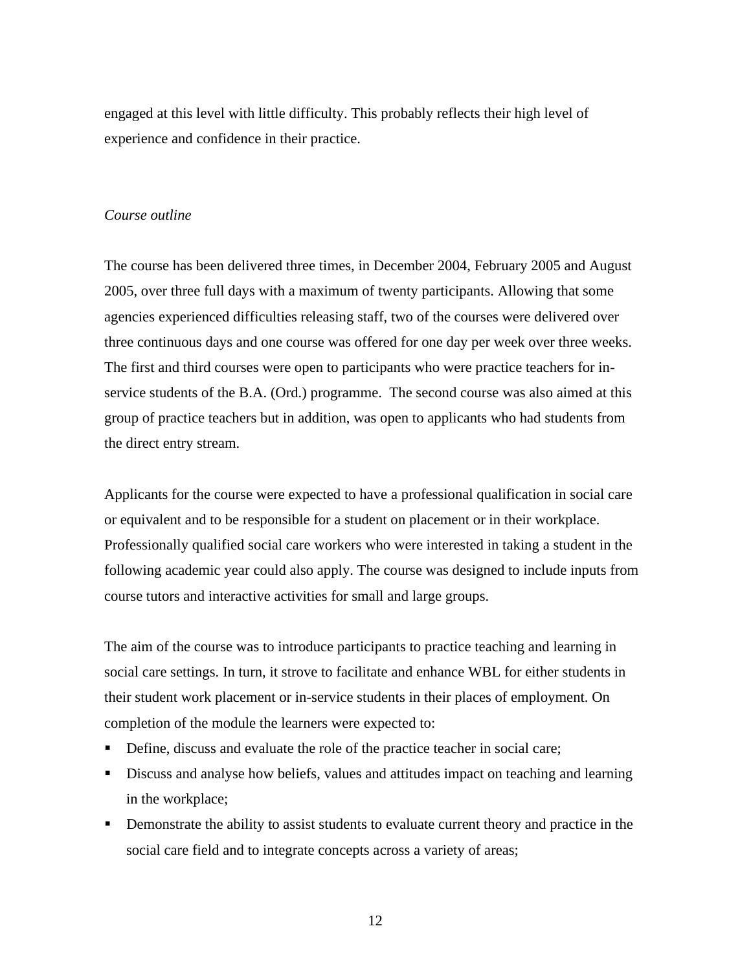engaged at this level with little difficulty. This probably reflects their high level of experience and confidence in their practice.

#### *Course outline*

The course has been delivered three times, in December 2004, February 2005 and August 2005, over three full days with a maximum of twenty participants. Allowing that some agencies experienced difficulties releasing staff, two of the courses were delivered over three continuous days and one course was offered for one day per week over three weeks. The first and third courses were open to participants who were practice teachers for inservice students of the B.A. (Ord.) programme. The second course was also aimed at this group of practice teachers but in addition, was open to applicants who had students from the direct entry stream.

Applicants for the course were expected to have a professional qualification in social care or equivalent and to be responsible for a student on placement or in their workplace. Professionally qualified social care workers who were interested in taking a student in the following academic year could also apply. The course was designed to include inputs from course tutors and interactive activities for small and large groups.

The aim of the course was to introduce participants to practice teaching and learning in social care settings. In turn, it strove to facilitate and enhance WBL for either students in their student work placement or in-service students in their places of employment. On completion of the module the learners were expected to:

- **•** Define, discuss and evaluate the role of the practice teacher in social care;
- **EXECUTE:** Discuss and analyse how beliefs, values and attitudes impact on teaching and learning in the workplace;
- **•** Demonstrate the ability to assist students to evaluate current theory and practice in the social care field and to integrate concepts across a variety of areas;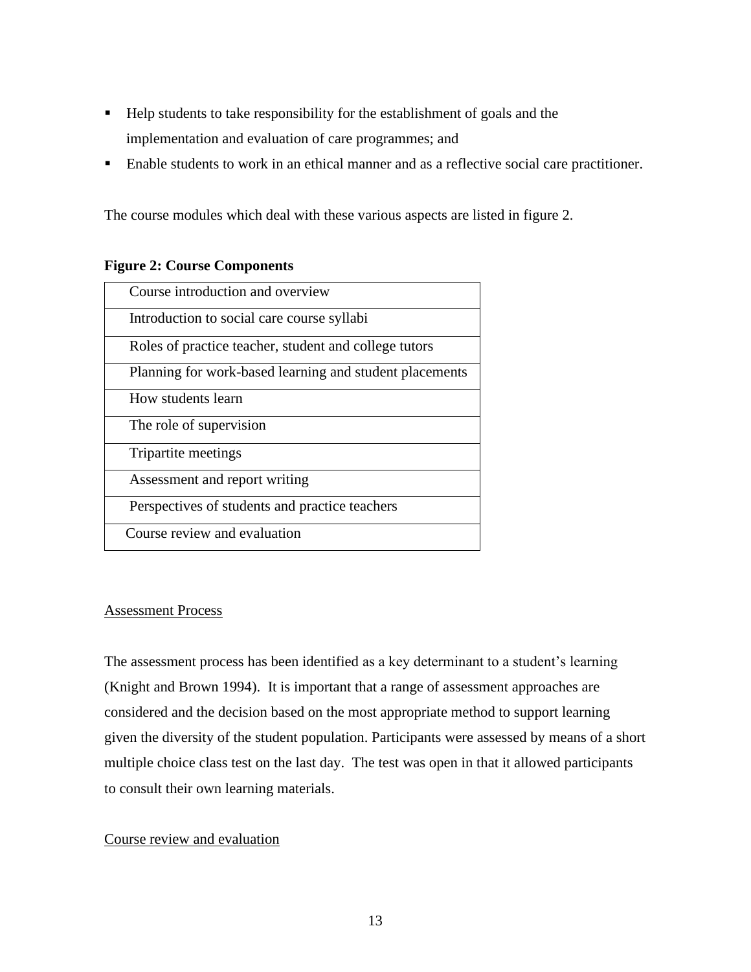- Help students to take responsibility for the establishment of goals and the implementation and evaluation of care programmes; and
- Enable students to work in an ethical manner and as a reflective social care practitioner.

The course modules which deal with these various aspects are listed in figure 2.

## **Figure 2: Course Components**

| Course introduction and overview                        |
|---------------------------------------------------------|
| Introduction to social care course syllabi              |
| Roles of practice teacher, student and college tutors   |
| Planning for work-based learning and student placements |
| How students learn                                      |
| The role of supervision                                 |
| Tripartite meetings                                     |
| Assessment and report writing                           |
| Perspectives of students and practice teachers          |
| Course review and evaluation                            |

## Assessment Process

The assessment process has been identified as a key determinant to a student's learning (Knight and Brown 1994). It is important that a range of assessment approaches are considered and the decision based on the most appropriate method to support learning given the diversity of the student population. Participants were assessed by means of a short multiple choice class test on the last day. The test was open in that it allowed participants to consult their own learning materials.

## Course review and evaluation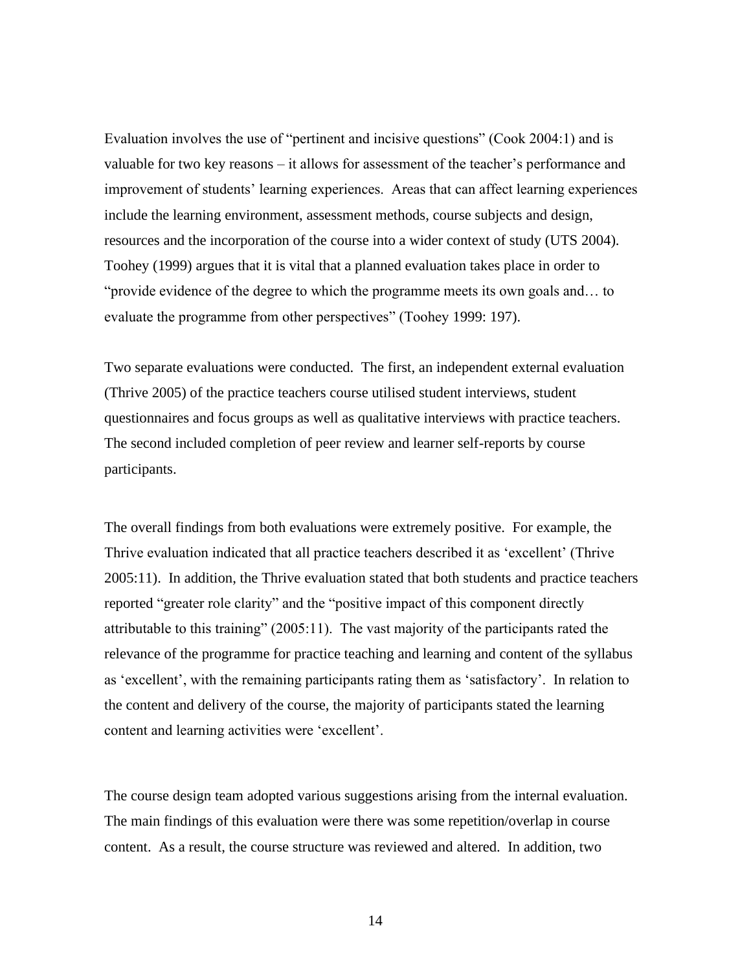Evaluation involves the use of "pertinent and incisive questions" (Cook 2004:1) and is valuable for two key reasons – it allows for assessment of the teacher's performance and improvement of students' learning experiences. Areas that can affect learning experiences include the learning environment, assessment methods, course subjects and design, resources and the incorporation of the course into a wider context of study (UTS 2004). Toohey (1999) argues that it is vital that a planned evaluation takes place in order to "provide evidence of the degree to which the programme meets its own goals and… to evaluate the programme from other perspectives" (Toohey 1999: 197).

Two separate evaluations were conducted. The first, an independent external evaluation (Thrive 2005) of the practice teachers course utilised student interviews, student questionnaires and focus groups as well as qualitative interviews with practice teachers. The second included completion of peer review and learner self-reports by course participants.

The overall findings from both evaluations were extremely positive. For example, the Thrive evaluation indicated that all practice teachers described it as 'excellent' (Thrive 2005:11). In addition, the Thrive evaluation stated that both students and practice teachers reported "greater role clarity" and the "positive impact of this component directly attributable to this training" (2005:11). The vast majority of the participants rated the relevance of the programme for practice teaching and learning and content of the syllabus as 'excellent', with the remaining participants rating them as 'satisfactory'. In relation to the content and delivery of the course, the majority of participants stated the learning content and learning activities were 'excellent'.

The course design team adopted various suggestions arising from the internal evaluation. The main findings of this evaluation were there was some repetition/overlap in course content. As a result, the course structure was reviewed and altered. In addition, two

14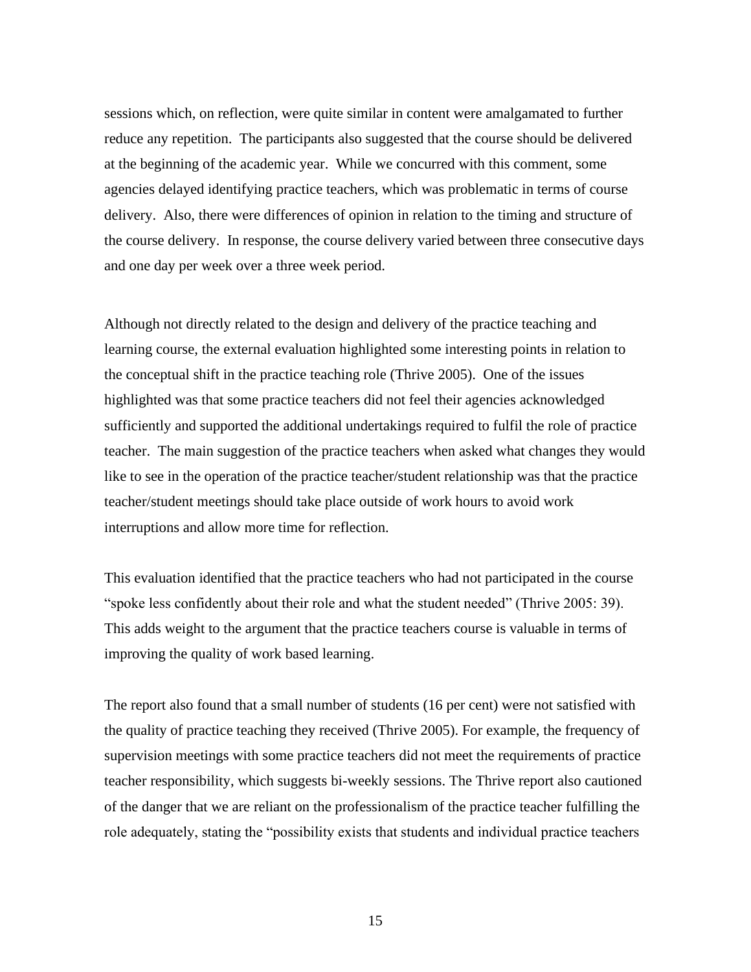sessions which, on reflection, were quite similar in content were amalgamated to further reduce any repetition. The participants also suggested that the course should be delivered at the beginning of the academic year. While we concurred with this comment, some agencies delayed identifying practice teachers, which was problematic in terms of course delivery. Also, there were differences of opinion in relation to the timing and structure of the course delivery. In response, the course delivery varied between three consecutive days and one day per week over a three week period.

Although not directly related to the design and delivery of the practice teaching and learning course, the external evaluation highlighted some interesting points in relation to the conceptual shift in the practice teaching role (Thrive 2005). One of the issues highlighted was that some practice teachers did not feel their agencies acknowledged sufficiently and supported the additional undertakings required to fulfil the role of practice teacher. The main suggestion of the practice teachers when asked what changes they would like to see in the operation of the practice teacher/student relationship was that the practice teacher/student meetings should take place outside of work hours to avoid work interruptions and allow more time for reflection.

This evaluation identified that the practice teachers who had not participated in the course "spoke less confidently about their role and what the student needed" (Thrive 2005: 39). This adds weight to the argument that the practice teachers course is valuable in terms of improving the quality of work based learning.

The report also found that a small number of students (16 per cent) were not satisfied with the quality of practice teaching they received (Thrive 2005). For example, the frequency of supervision meetings with some practice teachers did not meet the requirements of practice teacher responsibility, which suggests bi-weekly sessions. The Thrive report also cautioned of the danger that we are reliant on the professionalism of the practice teacher fulfilling the role adequately, stating the "possibility exists that students and individual practice teachers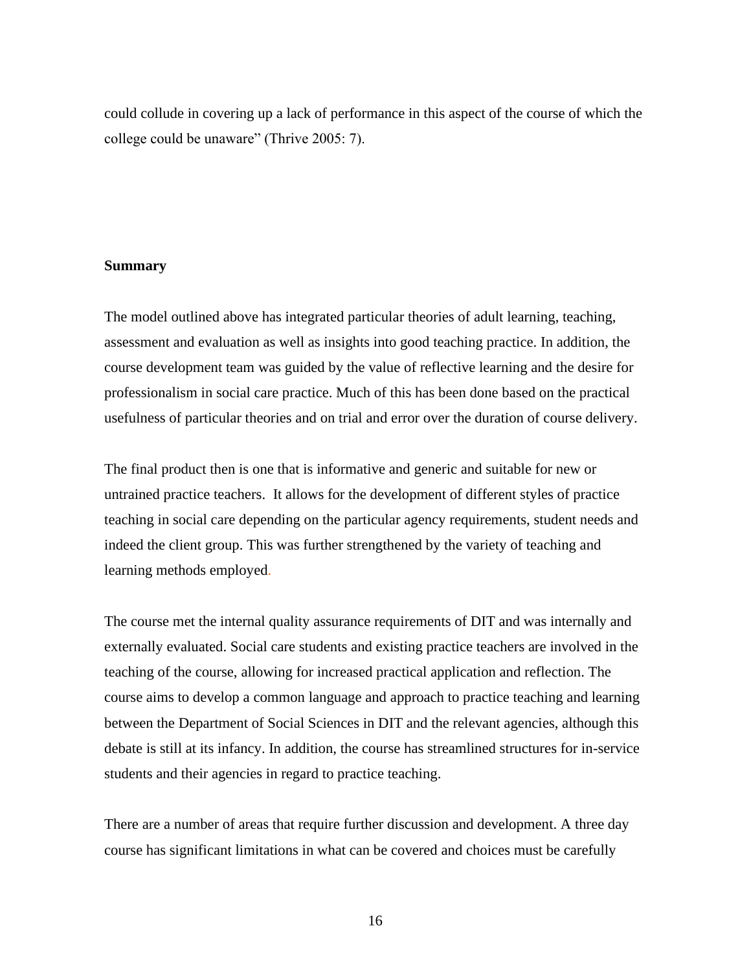could collude in covering up a lack of performance in this aspect of the course of which the college could be unaware" (Thrive 2005: 7).

## **Summary**

The model outlined above has integrated particular theories of adult learning, teaching, assessment and evaluation as well as insights into good teaching practice. In addition, the course development team was guided by the value of reflective learning and the desire for professionalism in social care practice. Much of this has been done based on the practical usefulness of particular theories and on trial and error over the duration of course delivery.

The final product then is one that is informative and generic and suitable for new or untrained practice teachers. It allows for the development of different styles of practice teaching in social care depending on the particular agency requirements, student needs and indeed the client group. This was further strengthened by the variety of teaching and learning methods employed.

The course met the internal quality assurance requirements of DIT and was internally and externally evaluated. Social care students and existing practice teachers are involved in the teaching of the course, allowing for increased practical application and reflection. The course aims to develop a common language and approach to practice teaching and learning between the Department of Social Sciences in DIT and the relevant agencies, although this debate is still at its infancy. In addition, the course has streamlined structures for in-service students and their agencies in regard to practice teaching.

There are a number of areas that require further discussion and development. A three day course has significant limitations in what can be covered and choices must be carefully

16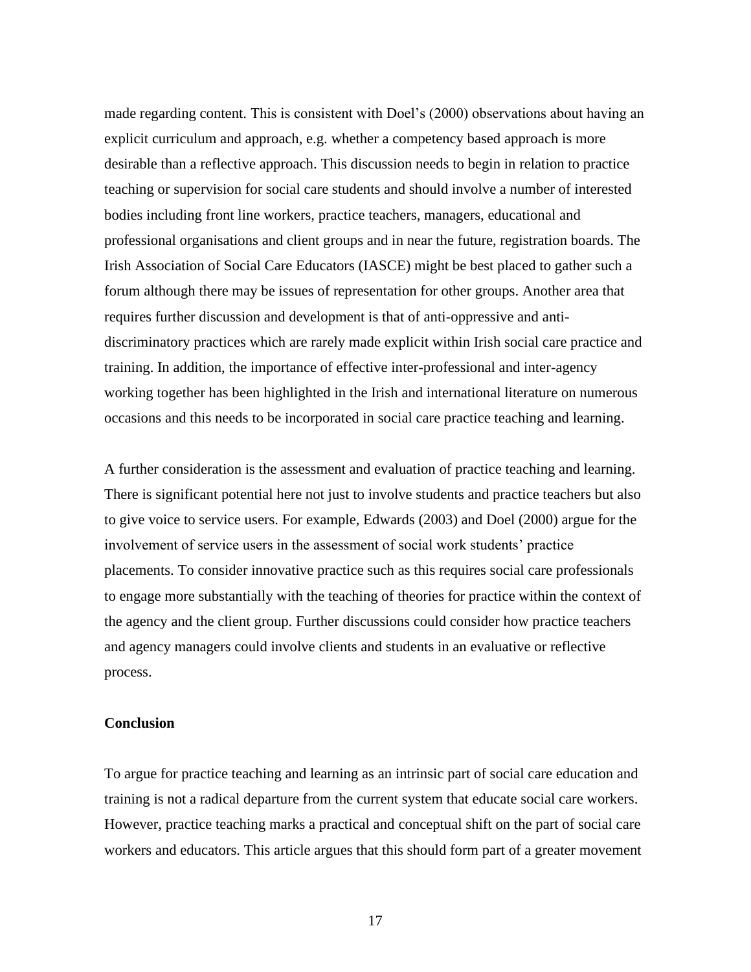made regarding content. This is consistent with Doel's (2000) observations about having an explicit curriculum and approach, e.g. whether a competency based approach is more desirable than a reflective approach. This discussion needs to begin in relation to practice teaching or supervision for social care students and should involve a number of interested bodies including front line workers, practice teachers, managers, educational and professional organisations and client groups and in near the future, registration boards. The Irish Association of Social Care Educators (IASCE) might be best placed to gather such a forum although there may be issues of representation for other groups. Another area that requires further discussion and development is that of anti-oppressive and antidiscriminatory practices which are rarely made explicit within Irish social care practice and training. In addition, the importance of effective inter-professional and inter-agency working together has been highlighted in the Irish and international literature on numerous occasions and this needs to be incorporated in social care practice teaching and learning.

A further consideration is the assessment and evaluation of practice teaching and learning. There is significant potential here not just to involve students and practice teachers but also to give voice to service users. For example, Edwards (2003) and Doel (2000) argue for the involvement of service users in the assessment of social work students' practice placements. To consider innovative practice such as this requires social care professionals to engage more substantially with the teaching of theories for practice within the context of the agency and the client group. Further discussions could consider how practice teachers and agency managers could involve clients and students in an evaluative or reflective process.

#### **Conclusion**

To argue for practice teaching and learning as an intrinsic part of social care education and training is not a radical departure from the current system that educate social care workers. However, practice teaching marks a practical and conceptual shift on the part of social care workers and educators. This article argues that this should form part of a greater movement

17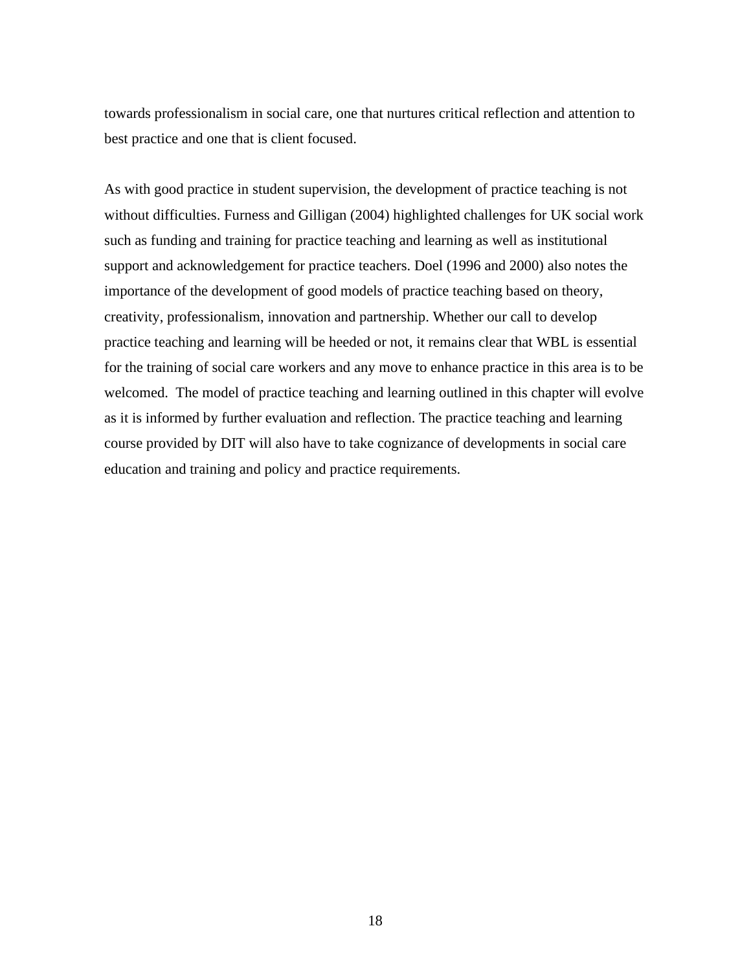towards professionalism in social care, one that nurtures critical reflection and attention to best practice and one that is client focused.

As with good practice in student supervision, the development of practice teaching is not without difficulties. Furness and Gilligan (2004) highlighted challenges for UK social work such as funding and training for practice teaching and learning as well as institutional support and acknowledgement for practice teachers. Doel (1996 and 2000) also notes the importance of the development of good models of practice teaching based on theory, creativity, professionalism, innovation and partnership. Whether our call to develop practice teaching and learning will be heeded or not, it remains clear that WBL is essential for the training of social care workers and any move to enhance practice in this area is to be welcomed. The model of practice teaching and learning outlined in this chapter will evolve as it is informed by further evaluation and reflection. The practice teaching and learning course provided by DIT will also have to take cognizance of developments in social care education and training and policy and practice requirements.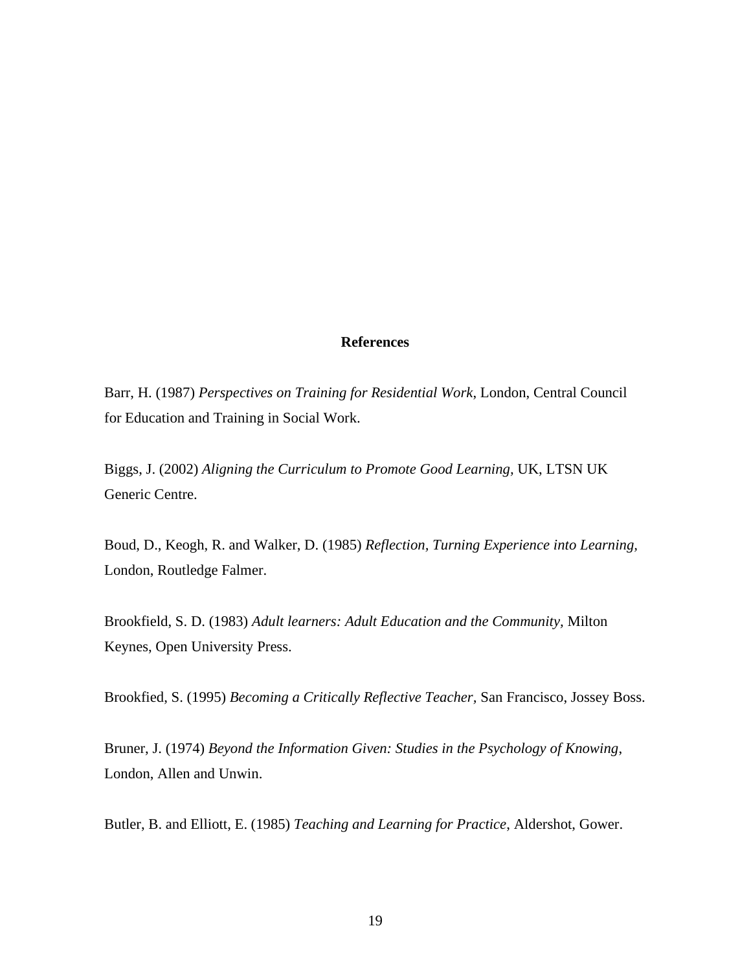#### **References**

Barr, H. (1987) *Perspectives on Training for Residential Work*, London, Central Council for Education and Training in Social Work.

Biggs, J. (2002) *Aligning the Curriculum to Promote Good Learning,* UK, LTSN UK Generic Centre.

Boud, D., Keogh, R. and Walker, D. (1985) *Reflection, Turning Experience into Learning,* London, Routledge Falmer.

Brookfield, S. D. (1983) *Adult learners: Adult Education and the Community,* Milton Keynes, Open University Press.

Brookfied, S. (1995) *Becoming a Critically Reflective Teacher,* San Francisco, Jossey Boss.

Bruner, J. (1974) *Beyond the Information Given: Studies in the Psychology of Knowing*, London, Allen and Unwin.

Butler, B. and Elliott, E. (1985) *Teaching and Learning for Practice*, Aldershot, Gower.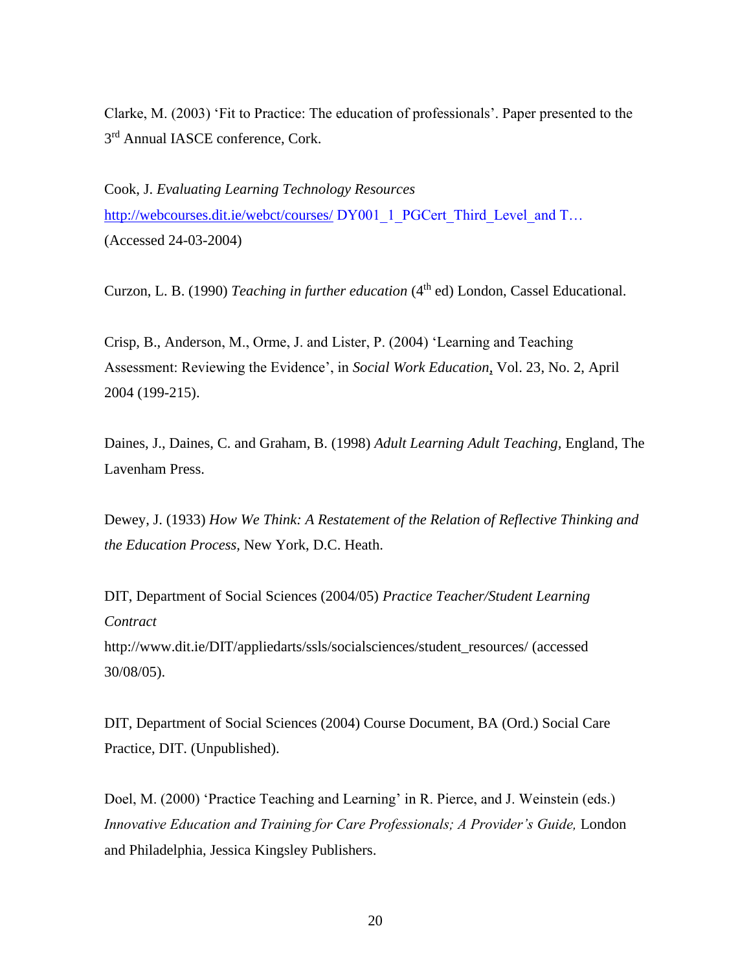Clarke, M. (2003) 'Fit to Practice: The education of professionals'. Paper presented to the 3<sup>rd</sup> Annual IASCE conference, Cork.

Cook, J. *Evaluating Learning Technology Resources* <http://webcourses.dit.ie/webct/courses/> DY001\_1\_PGCert\_Third\_Level\_and T… (Accessed 24-03-2004)

Curzon, L. B. (1990) *Teaching in further education* (4<sup>th</sup> ed) London, Cassel Educational.

Crisp, B., Anderson, M., Orme, J. and Lister, P. (2004) 'Learning and Teaching Assessment: Reviewing the Evidence', in *Social Work Education*, Vol. 23, No. 2, April 2004 (199-215).

Daines, J., Daines, C. and Graham, B. (1998) *Adult Learning Adult Teaching,* England, The Lavenham Press.

Dewey, J. (1933) *How We Think: A Restatement of the Relation of Reflective Thinking and the Education Process,* New York, D.C. Heath.

DIT, Department of Social Sciences (2004/05) *Practice Teacher/Student Learning Contract*  [http://www.dit.ie/DIT/appliedarts/ssls/socialsciences/student\\_resources/](http://www.dit.ie/DIT/appliedarts/ssls/socialsciences/student_resources/) (accessed 30/08/05).

DIT, Department of Social Sciences (2004) Course Document*,* BA (Ord.) Social Care Practice, DIT. (Unpublished).

Doel, M. (2000) 'Practice Teaching and Learning' in R. Pierce, and J. Weinstein (eds.) *Innovative Education and Training for Care Professionals; A Provider's Guide,* London and Philadelphia, Jessica Kingsley Publishers.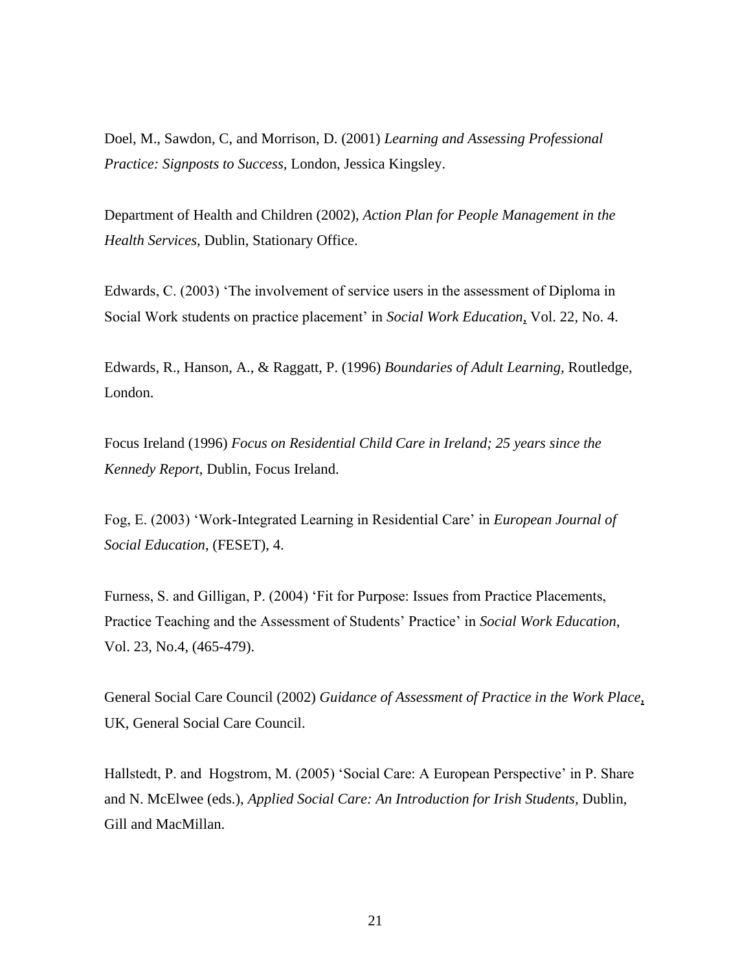Doel, M., Sawdon, C, and Morrison, D. (2001) *Learning and Assessing Professional Practice: Signposts to Success,* London, Jessica Kingsley.

Department of Health and Children (2002), *Action Plan for People Management in the Health Services*, Dublin, Stationary Office.

Edwards, C. (2003) 'The involvement of service users in the assessment of Diploma in Social Work students on practice placement' in *Social Work Education*, Vol. 22, No. 4.

Edwards, R., Hanson, A., & Raggatt, P. (1996) *Boundaries of Adult Learning,* Routledge, London.

Focus Ireland (1996) *Focus on Residential Child Care in Ireland; 25 years since the Kennedy Report*, Dublin, Focus Ireland.

Fog, E. (2003) 'Work-Integrated Learning in Residential Care' in *European Journal of Social Education*, (FESET), 4.

Furness, S. and Gilligan, P. (2004) 'Fit for Purpose: Issues from Practice Placements, Practice Teaching and the Assessment of Students' Practice' in *Social Work Education*, Vol. 23, No.4, (465-479).

General Social Care Council (2002) *Guidance of Assessment of Practice in the Work Place*, UK, General Social Care Council.

Hallstedt, P. and Hogstrom, M. (2005) 'Social Care: A European Perspective' in P. Share and N. McElwee (eds.), *Applied Social Care: An Introduction for Irish Students,* Dublin, Gill and MacMillan.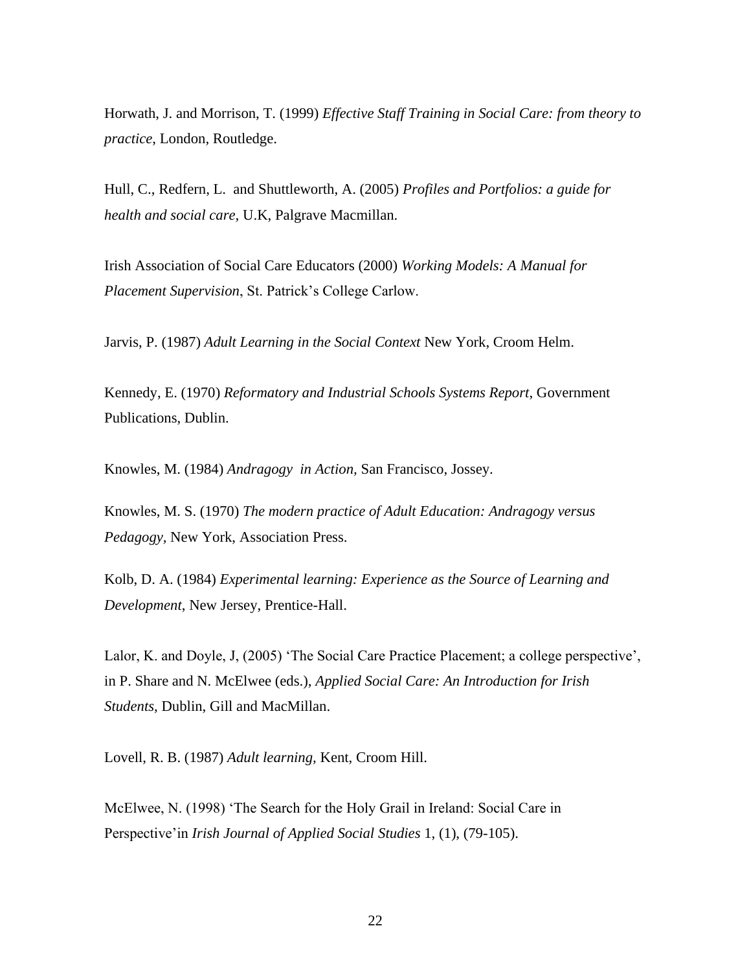Horwath, J. and Morrison, T. (1999) *Effective Staff Training in Social Care: from theory to practice*, London, Routledge.

Hull, C., Redfern, L. and Shuttleworth, A. (2005) *Profiles and Portfolios: a guide for health and social care*, U.K, Palgrave Macmillan.

Irish Association of Social Care Educators (2000) *Working Models: A Manual for Placement Supervision*, St. Patrick's College Carlow.

Jarvis, P. (1987) *Adult Learning in the Social Context* New York, Croom Helm.

Kennedy, E. (1970) *Reformatory and Industrial Schools Systems Report*, Government Publications, Dublin.

Knowles, M. (1984) *Andragogy in Action,* San Francisco, Jossey.

Knowles, M. S. (1970) *The modern practice of Adult Education: Andragogy versus Pedagogy,* New York, Association Press.

Kolb, D. A. (1984) *Experimental learning: Experience as the Source of Learning and Development*, New Jersey, Prentice-Hall.

Lalor, K. and Doyle, J, (2005) 'The Social Care Practice Placement; a college perspective', in P. Share and N. McElwee (eds.), *Applied Social Care: An Introduction for Irish Students*, Dublin, Gill and MacMillan.

Lovell, R. B. (1987) *Adult learning,* Kent, Croom Hill.

McElwee, N. (1998) 'The Search for the Holy Grail in Ireland: Social Care in Perspective'in *Irish Journal of Applied Social Studies* 1, (1), (79-105).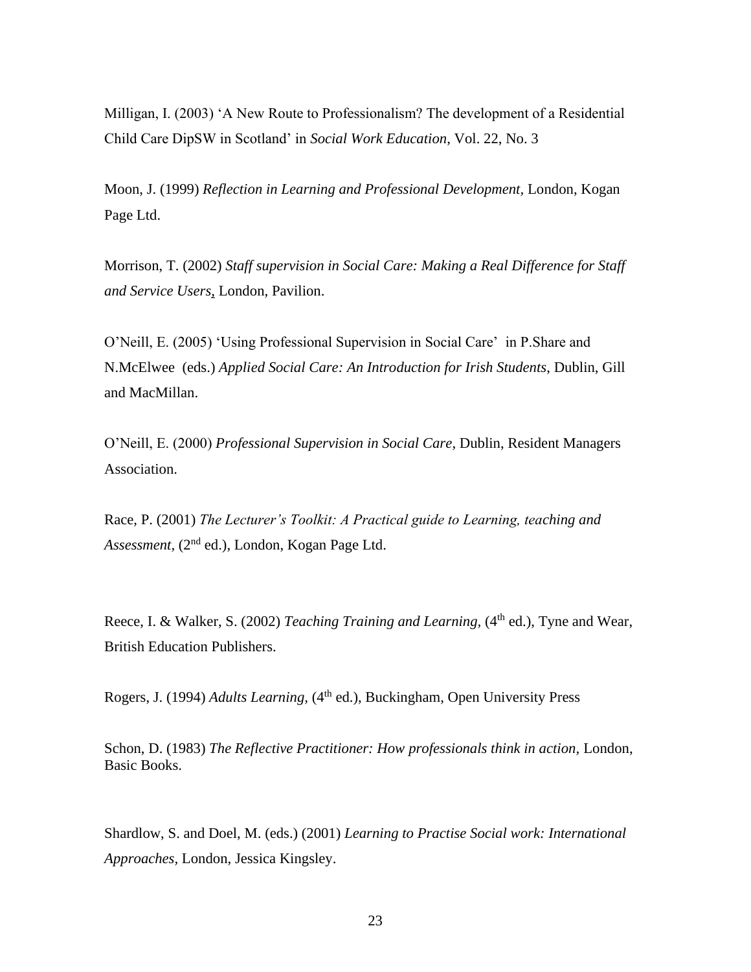Milligan, I. (2003) 'A New Route to Professionalism? The development of a Residential Child Care DipSW in Scotland' in *Social Work Education*, Vol. 22, No. 3

Moon, J. (1999) *Reflection in Learning and Professional Development,* London, Kogan Page Ltd.

Morrison, T. (2002) *Staff supervision in Social Care: Making a Real Difference for Staff and Service Users*, London, Pavilion.

O'Neill, E. (2005) 'Using Professional Supervision in Social Care' in P.Share and N.McElwee (eds.) *Applied Social Care: An Introduction for Irish Students*, Dublin, Gill and MacMillan.

O'Neill, E. (2000) *Professional Supervision in Social Care*, Dublin, Resident Managers Association.

Race, P. (2001) *The Lecturer's Toolkit: A Practical guide to Learning, teaching and Assessment,* (2nd ed.), London, Kogan Page Ltd.

Reece, I. & Walker, S. (2002) *Teaching Training and Learning*, (4<sup>th</sup> ed.), Tyne and Wear, British Education Publishers.

Rogers, J. (1994) *Adults Learning,* (4<sup>th</sup> ed.), Buckingham, Open University Press

Schon, D. (1983) *The Reflective Practitioner: How professionals think in action,* London, Basic Books.

Shardlow, S. and Doel, M. (eds.) (2001) *Learning to Practise Social work: International Approaches,* London, Jessica Kingsley.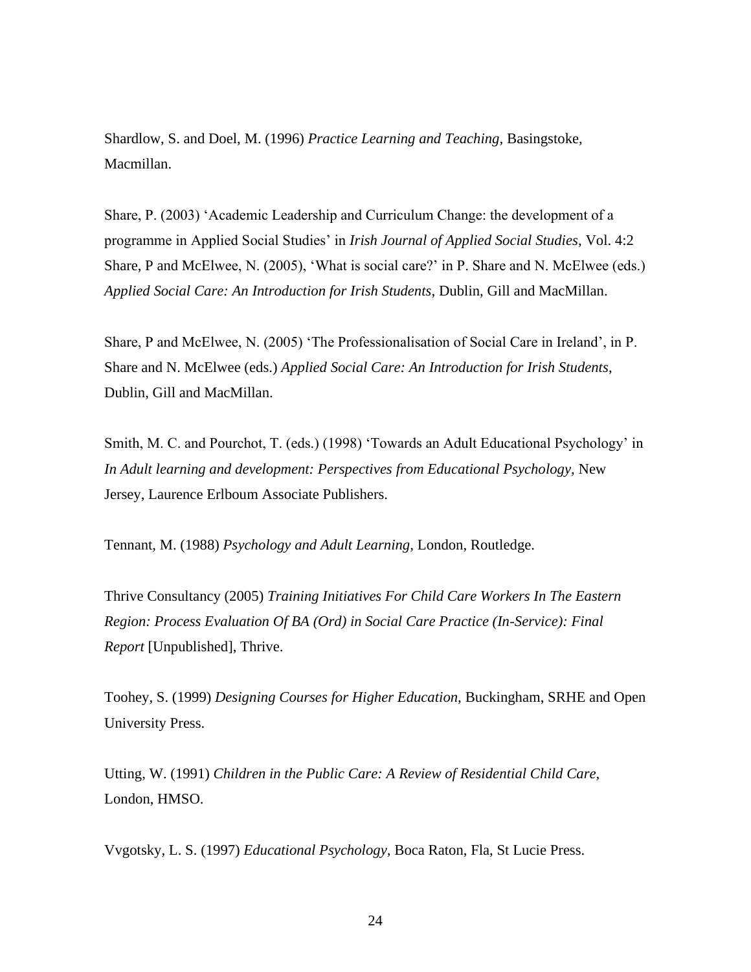Shardlow, S. and Doel, M. (1996) *Practice Learning and Teaching,* Basingstoke, Macmillan.

Share, P. (2003) 'Academic Leadership and Curriculum Change: the development of a programme in Applied Social Studies' in *Irish Journal of Applied Social Studies*, Vol. 4:2 Share, P and McElwee, N. (2005), 'What is social care?' in P. Share and N. McElwee (eds.) *Applied Social Care: An Introduction for Irish Students*, Dublin, Gill and MacMillan.

Share, P and McElwee, N. (2005) 'The Professionalisation of Social Care in Ireland', in P. Share and N. McElwee (eds.) *Applied Social Care: An Introduction for Irish Students*, Dublin, Gill and MacMillan.

Smith, M. C. and Pourchot, T. (eds.) (1998) 'Towards an Adult Educational Psychology' in *In Adult learning and development: Perspectives from Educational Psychology,* New Jersey, Laurence Erlboum Associate Publishers.

Tennant, M. (1988) *Psychology and Adult Learning,* London, Routledge.

Thrive Consultancy (2005) *Training Initiatives For Child Care Workers In The Eastern Region: Process Evaluation Of BA (Ord) in Social Care Practice (In-Service): Final Report* [Unpublished], Thrive.

Toohey, S. (1999) *Designing Courses for Higher Education,* Buckingham, SRHE and Open University Press.

Utting, W. (1991) *Children in the Public Care: A Review of Residential Child Care,* London, HMSO.

Vvgotsky, L. S. (1997) *Educational Psychology,* Boca Raton, Fla, St Lucie Press.